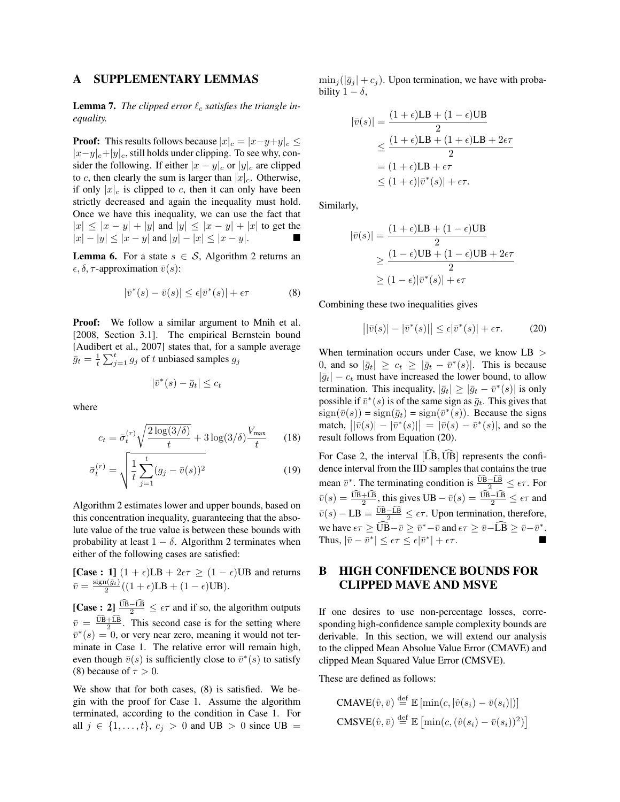### A SUPPLEMENTARY LEMMAS

**Lemma 7.** The clipped error  $\ell_c$  satisfies the triangle in*equality.*

**Proof:** This results follows because  $|x|_c = |x-y+y|_c \leq$  $|x-y|_c+|y|_c$ , still holds under clipping. To see why, consider the following. If either  $|x - y|_c$  or  $|y|_c$  are clipped to *c*, then clearly the sum is larger than  $|x|_c$ . Otherwise, if only  $|x|_c$  is clipped to *c*, then it can only have been strictly decreased and again the inequality must hold. Once we have this inequality, we can use the fact that  $|x| \le |x - y| + |y|$  and  $|y| \le |x - y| + |x|$  to get the  $|x| - |y| \le |x - y|$  and  $|y| - |x| \le |x - y|$ .

**Lemma 6.** For a state  $s \in S$ , Algorithm 2 returns an  $\epsilon, \delta, \tau$ -approximation  $\bar{v}(s)$ :

$$
|\bar{v}^*(s) - \bar{v}(s)| \le \epsilon |\bar{v}^*(s)| + \epsilon \tau \tag{8}
$$

Proof: We follow a similar argument to Mnih et al. [2008, Section 3.1]. The empirical Bernstein bound [Audibert et al., 2007] states that, for a sample average  $\bar{g}_t = \frac{1}{t} \sum_{j=1}^t g_j$  of *t* unbiased samples  $g_j$ 

 $|\bar{v}^*(s) - \bar{g}_t| \leq c_t$ 

where

$$
c_t = \bar{\sigma}_t^{(r)} \sqrt{\frac{2\log(3/\delta)}{t}} + 3\log(3/\delta)\frac{V_{\text{max}}}{t}
$$
 (18)

$$
\bar{\sigma}_t^{(r)} = \sqrt{\frac{1}{t} \sum_{j=1}^t (g_j - \bar{v}(s))^2}
$$
 (19)

Algorithm 2 estimates lower and upper bounds, based on this concentration inequality, guaranteeing that the absolute value of the true value is between these bounds with probability at least  $1 - \delta$ . Algorithm 2 terminates when either of the following cases are satisfied:

[Case : 1]  $(1 + \epsilon)LB + 2\epsilon\tau \ge (1 - \epsilon)UB$  and returns  $\bar{v} = \frac{\text{sign}(\bar{g}_t)}{2}((1+\epsilon)LB + (1-\epsilon)UB).$ 

[Case:  $2 \int_{0}^{\frac{\text{UB} - \text{LB}}{2}} \leq \epsilon \tau$  and if so, the algorithm outputs  $\bar{v} = \frac{UB + LB}{2}$ . This second case is for the setting where  $\overline{v}^*(s)=0$ , or very near zero, meaning it would not terminate in Case 1. The relative error will remain high, even though  $\bar{v}(s)$  is sufficiently close to  $\bar{v}^*(s)$  to satisfy (8) because of  $\tau > 0$ .

We show that for both cases, (8) is satisfied. We begin with the proof for Case 1. Assume the algorithm terminated, according to the condition in Case 1. For all  $j \in \{1, ..., t\}$ ,  $c_j > 0$  and UB  $> 0$  since UB =  $\min_i(|\bar{q}_i| + c_i)$ . Upon termination, we have with probability  $1 - \delta$ ,

$$
|\bar{v}(s)| = \frac{(1+\epsilon)\text{LB} + (1-\epsilon)\text{UB}}{2}
$$
  
\n
$$
\leq \frac{(1+\epsilon)\text{LB} + (1+\epsilon)\text{LB} + 2\epsilon\tau}{2}
$$
  
\n
$$
= (1+\epsilon)\text{LB} + \epsilon\tau
$$
  
\n
$$
\leq (1+\epsilon)|\bar{v}^*(s)| + \epsilon\tau.
$$

Similarly,

$$
|\bar{v}(s)| = \frac{(1+\epsilon)LB + (1-\epsilon)UB}{2}
$$
  
\n
$$
\geq \frac{(1-\epsilon)UB + (1-\epsilon)UB + 2\epsilon\tau}{2}
$$
  
\n
$$
\geq (1-\epsilon)|\bar{v}^*(s)| + \epsilon\tau
$$

Combining these two inequalities gives

$$
\left| |\bar{v}(s)| - |\bar{v}^*(s)| \right| \le \epsilon |\bar{v}^*(s)| + \epsilon \tau. \tag{20}
$$

When termination occurs under Case, we know LB *>* 0, and so  $|\bar{g}_t| \geq c_t \geq |\bar{g}_t - \bar{v}^*(s)|$ . This is because  $|\bar{g}_t| - c_t$  must have increased the lower bound, to allow termination. This inequality,  $|\bar{g}_t| \geq |\bar{g}_t - \bar{v}^*(s)|$  is only possible if  $\bar{v}^*(s)$  is of the same sign as  $\bar{q}_t$ . This gives that  $sign(\bar{v}(s)) = sign(\bar{g}_t) = sign(\bar{v}^*(s))$ . Because the signs  $|v(\bar{v}(s)) - |\bar{v}^*(s)|| = |\bar{v}(s) - \bar{v}^*(s)|$ , and so the result follows from Equation (20).

For Case 2, the interval  $[\widehat{LB}, \widehat{UB}]$  represents the confidence interval from the IID samples that contains the true mean  $\bar{v}^*$ . The terminating condition is  $\frac{\text{UB}-\text{LB}}{2} \leq \epsilon \tau$ . For  $\bar{v}(s) = \frac{\text{UB} + \text{LB}}{2}$ , this gives  $\text{UB} - \bar{v}(s) = \frac{\text{UB} - \text{LB}}{2} \leq \epsilon \tau$  and  $\overline{v}(s) - \text{LB} = \frac{\text{UB} - \text{LB}}{2} \leq \epsilon \tau$ . Upon termination, therefore, we have  $\epsilon \tau \geq \widehat{UB} - \bar{v} \geq \bar{v}^* - \bar{v}$  and  $\epsilon \tau \geq \bar{v} - \widehat{LB} \geq \bar{v} - \bar{v}^*$ . Thus,  $|\bar{v} - \bar{v}^*| \leq \epsilon \tau \leq \epsilon |\bar{v}^*| + \epsilon \tau$ .

## B HIGH CONFIDENCE BOUNDS FOR CLIPPED MAVE AND MSVE

If one desires to use non-percentage losses, corresponding high-confidence sample complexity bounds are derivable. In this section, we will extend our analysis to the clipped Mean Absolue Value Error (CMAVE) and clipped Mean Squared Value Error (CMSVE).

These are defined as follows:

$$
\text{CMAVE}(\hat{v}, \bar{v}) \stackrel{\text{def}}{=} \mathbb{E} \left[ \min(c, |\hat{v}(s_i) - \bar{v}(s_i)|) \right]
$$

$$
\text{CMSVE}(\hat{v}, \bar{v}) \stackrel{\text{def}}{=} \mathbb{E} \left[ \min(c, (\hat{v}(s_i) - \bar{v}(s_i))^2) \right]
$$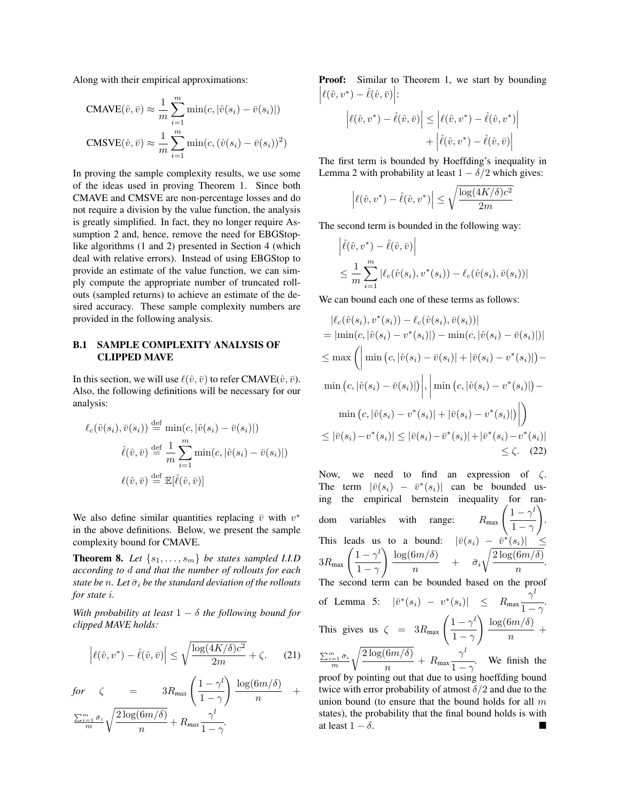Along with their empirical approximations:

$$
\text{CMAVE}(\hat{v}, \bar{v}) \approx \frac{1}{m} \sum_{i=1}^{m} \min(c, |\hat{v}(s_i) - \bar{v}(s_i)|)
$$

$$
\text{CMSVE}(\hat{v}, \bar{v}) \approx \frac{1}{m} \sum_{i=1}^{m} \min(c, (\hat{v}(s_i) - \bar{v}(s_i))^2)
$$

In proving the sample complexity results, we use some of the ideas used in proving Theorem 1. Since both CMAVE and CMSVE are non-percentage losses and do not require a division by the value function, the analysis is greatly simplified. In fact, they no longer require Assumption 2 and, hence, remove the need for EBGStoplike algorithms (1 and 2) presented in Section 4 (which deal with relative errors). Instead of using EBGStop to provide an estimate of the value function, we can simply compute the appropriate number of truncated rollouts (sampled returns) to achieve an estimate of the desired accuracy. These sample complexity numbers are provided in the following analysis.

### B.1 SAMPLE COMPLEXITY ANALYSIS OF CLIPPED MAVE

In this section, we will use  $\ell(\hat{v}, \bar{v})$  to refer CMAVE( $\hat{v}, \bar{v}$ ). Also, the following definitions will be necessary for our analysis:

$$
\ell_c(\hat{v}(s_i), \bar{v}(s_i)) \stackrel{\text{def}}{=} \min(c, |\hat{v}(s_i) - \bar{v}(s_i)|)
$$

$$
\hat{\ell}(\hat{v}, \bar{v}) \stackrel{\text{def}}{=} \frac{1}{m} \sum_{i=1}^m \min(c, |\hat{v}(s_i) - \bar{v}(s_i)|)
$$

$$
\ell(\hat{v}, \bar{v}) \stackrel{\text{def}}{=} \mathbb{E}[\hat{\ell}(\hat{v}, \bar{v})]
$$

We also define similar quantities replacing  $\bar{v}$  with  $v^*$ in the above definitions. Below, we present the sample complexity bound for CMAVE.

**Theorem 8.** Let  $\{s_1, \ldots, s_m\}$  be states sampled I.I.D *according to d and that the number of rollouts for each state be n. Let*  $\bar{\sigma}_i$  *be the standard deviation of the rollouts for state i.*

With probability at least  $1 - \delta$  the following bound for *clipped MAVE holds:*

$$
\left| \ell(\hat{v}, v^*) - \hat{\ell}(\hat{v}, \bar{v}) \right| \le \sqrt{\frac{\log(4K/\delta)c^2}{2m}} + \zeta. \tag{21}
$$

$$
for \quad \zeta = 3R_{max} \left( \frac{1 - \gamma^l}{1 - \gamma} \right) \frac{\log(6m/\delta)}{n} + \frac{\sum_{i=1}^{m} \bar{\sigma}_i}{m} \sqrt{\frac{2 \log(6m/\delta)}{n}} + R_{max} \frac{\gamma^l}{1 - \gamma}.
$$

**Proof:** Similar to Theorem 1, we start by bounding  $\left| \ell(\hat{v}, v^*) - \hat{\ell}(\hat{v}, \bar{v}) \right|$ :

$$
\left| \ell(\hat{v}, v^*) - \hat{\ell}(\hat{v}, \bar{v}) \right| \leq \left| \ell(\hat{v}, v^*) - \hat{\ell}(\hat{v}, v^*) \right|
$$

$$
+ \left| \hat{\ell}(\hat{v}, v^*) - \hat{\ell}(\hat{v}, \bar{v}) \right|
$$

The first term is bounded by Hoeffding's inequality in Lemma 2 with probability at least  $1 - \delta/2$  which gives:

$$
\left| \ell(\hat{v}, v^*) - \hat{\ell}(\hat{v}, v^*) \right| \le \sqrt{\frac{\log(4K/\delta)c^2}{2m}}
$$

The second term is bounded in the following way:

$$
\left| \hat{\ell}(\hat{v}, v^*) - \hat{\ell}(\hat{v}, \bar{v}) \right|
$$
  

$$
\leq \frac{1}{m} \sum_{i=1}^m |\ell_c(\hat{v}(s_i), v^*(s_i)) - \ell_c(\hat{v}(s_i), \bar{v}(s_i))|
$$

We can bound each one of these terms as follows:

$$
|\ell_c(\hat{v}(s_i), v^*(s_i)) - \ell_c(\hat{v}(s_i), \bar{v}(s_i))|
$$
  
\n=  $|\min(c, |\hat{v}(s_i) - v^*(s_i)|) - \min(c, |\hat{v}(s_i) - \bar{v}(s_i)|)|$   
\n $\leq \max \left( \left| \min(c, |\hat{v}(s_i) - \bar{v}(s_i)| + |\bar{v}(s_i) - v^*(s_i)|) - \min(c, |\hat{v}(s_i) - \bar{v}(s_i)|) \right|, \left| \min(c, |\hat{v}(s_i) - v^*(s_i)|) - \min(c, |\hat{v}(s_i) - v^*(s_i)| + |\bar{v}(s_i) - v^*(s_i)|) \right| \right)$   
\n $\leq |\bar{v}(s_i) - v^*(s_i)| \leq |\bar{v}(s_i) - \bar{v}^*(s_i)| + |\bar{v}^*(s_i) - v^*(s_i)|$   
\n $\leq \zeta.$  (22)

Now, we need to find an expression of  $\zeta$ . The term  $|\bar{v}(s_i) - \bar{v}^*(s_i)|$  can be bounded using the empirical bernstein inequality for random variables with range:  $\frac{1-\gamma^l}{l}$  $1-\gamma$ ! . This leads us to a bound:  $|\bar{v}(s_i) - \bar{v}^*(s_i)| \leq$  $3R_{\text{max}}\left(\frac{1-\gamma^l}{1-\gamma^l}\right)$  $1-\gamma$  $\log(6m/\delta)$  $\frac{\partial}{\partial n}$  +  $\bar{\sigma}_i$  $\sqrt{2 \log(6m/\delta)}$  $\frac{n(n+1)}{n}$ . The second term can be bounded based on the proof of Lemma 5:  $|\bar{v}^*(s_i) - v^*(s_i)| \leq R_{\text{max}}$  $\gamma^l$  $\frac{1}{1-\gamma}$ . This gives us  $\zeta = 3R_{\text{max}} \left( \frac{1 - \gamma^l}{1 - \gamma^l} \right)$  $1-\gamma$  $\log(6m/\delta)$  $\frac{n}{n}$  +  $\frac{\sum_{i=1}^m \bar{\sigma}_i}{m}$  $\sqrt{2 \log(6m/\delta)}$  $\frac{n}{n}$  +  $R_{\text{max}}$  $\gamma^l$  $\frac{1}{1-\gamma}$ . We finish the proof by pointing out that due to using hoeffding bound

twice with error probability of atmost  $\delta/2$  and due to the union bound (to ensure that the bound holds for all *m* states), the probability that the final bound holds is with at least  $1 - \delta$ .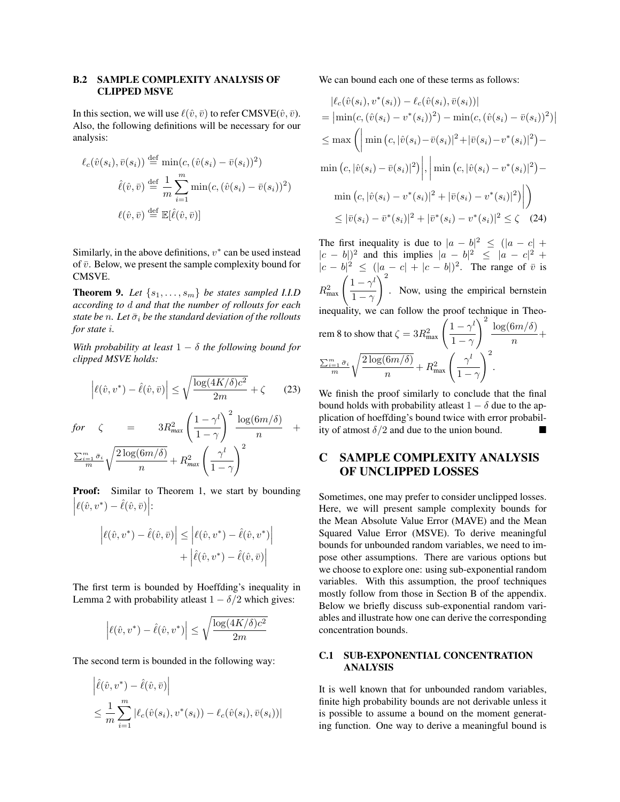#### B.2 SAMPLE COMPLEXITY ANALYSIS OF CLIPPED MSVE

In this section, we will use  $\ell(\hat{v}, \bar{v})$  to refer CMSVE( $\hat{v}, \bar{v}$ ). Also, the following definitions will be necessary for our analysis:

$$
\ell_c(\hat{v}(s_i), \bar{v}(s_i)) \stackrel{\text{def}}{=} \min(c, (\hat{v}(s_i) - \bar{v}(s_i))^2)
$$

$$
\hat{\ell}(\hat{v}, \bar{v}) \stackrel{\text{def}}{=} \frac{1}{m} \sum_{i=1}^m \min(c, (\hat{v}(s_i) - \bar{v}(s_i))^2)
$$

$$
\ell(\hat{v}, \bar{v}) \stackrel{\text{def}}{=} \mathbb{E}[\hat{\ell}(\hat{v}, \bar{v})]
$$

Similarly, in the above definitions,  $v^*$  can be used instead of  $\bar{v}$ . Below, we present the sample complexity bound for CMSVE.

**Theorem 9.** Let  $\{s_1, \ldots, s_m\}$  be states sampled I.I.D *according to d and that the number of rollouts for each state be n. Let*  $\bar{\sigma}_i$  *be the standard deviation of the rollouts for state i.*

*With probability at least*  $1 - \delta$  *the following bound for clipped MSVE holds:*

$$
\left| \ell(\hat{v}, v^*) - \hat{\ell}(\hat{v}, \bar{v}) \right| \le \sqrt{\frac{\log(4K/\delta)c^2}{2m}} + \zeta \qquad (23)
$$

$$
\begin{array}{rcl}\nfor & \zeta & = & 3R_{\text{max}}^2 \left( \frac{1 - \gamma^l}{1 - \gamma} \right)^2 \frac{\log(6m/\delta)}{n} \\
& \frac{\sum_{i=1}^m \bar{\sigma}_i}{m} \sqrt{\frac{2\log(6m/\delta)}{n}} + R_{\text{max}}^2 \left( \frac{\gamma^l}{1 - \gamma} \right)^2\n\end{array}
$$

**Proof:** Similar to Theorem 1, we start by bounding  $\left| \ell(\hat{v}, v^*) - \hat{\ell}(\hat{v}, \bar{v}) \right|$ :

$$
\left| \ell(\hat{v}, v^*) - \hat{\ell}(\hat{v}, \bar{v}) \right| \le \left| \ell(\hat{v}, v^*) - \hat{\ell}(\hat{v}, v^*) \right|
$$

$$
+ \left| \hat{\ell}(\hat{v}, v^*) - \hat{\ell}(\hat{v}, \bar{v}) \right|
$$

The first term is bounded by Hoeffding's inequality in Lemma 2 with probability at least  $1 - \delta/2$  which gives:

$$
\left| \ell(\hat{v},v^*) - \hat{\ell}(\hat{v},v^*) \right| \le \sqrt{\frac{\log(4K/\delta)c^2}{2m}}
$$

The second term is bounded in the following way:

$$
\left| \hat{\ell}(\hat{v}, v^*) - \hat{\ell}(\hat{v}, \bar{v}) \right|
$$
  

$$
\leq \frac{1}{m} \sum_{i=1}^m \left| \ell_c(\hat{v}(s_i), v^*(s_i)) - \ell_c(\hat{v}(s_i), \bar{v}(s_i)) \right|
$$

We can bound each one of these terms as follows:

$$
\begin{aligned} |\ell_c(\hat{v}(s_i), v^*(s_i)) - \ell_c(\hat{v}(s_i), \bar{v}(s_i))| \\ &= \left| \min(c, (\hat{v}(s_i) - v^*(s_i))^2) - \min(c, (\hat{v}(s_i) - \bar{v}(s_i))^2) \right| \\ &\leq \max \left( \left| \min(c, |\hat{v}(s_i) - \bar{v}(s_i)|^2 + |\bar{v}(s_i) - v^*(s_i)|^2) - \min(c, |\hat{v}(s_i) - \bar{v}(s_i)|^2) \right|, \left| \min(c, |\hat{v}(s_i) - v^*(s_i)|^2) - \min(c, |\hat{v}(s_i) - v^*(s_i)|^2 + |\bar{v}(s_i) - v^*(s_i)|^2) \right| \right) \\ &\leq |\bar{v}(s_i) - \bar{v}^*(s_i)|^2 + |\bar{v}^*(s_i) - v^*(s_i)|^2 \leq \zeta \end{aligned}
$$
 (24)

The first inequality is due to  $|a - b|^2 \leq (|a - c| +$  $|c - b|$ <sup>2</sup> and this implies  $|a - b|^2 \leq |a - c|^2 + c$  $|c - b|^2 \leq (|a - c| + |c - b|)^2$ . The range of  $\bar{v}$  is  $R_{\text{max}}^2 \left( \frac{1 - \gamma^l}{1 - \gamma^l} \right)$  $1-\gamma$  $\setminus^2$ . Now, using the empirical bernstein inequality, we can follow the proof technique in Theorem 8 to show that  $\zeta = 3R_{\text{max}}^2 \left( \frac{1 - \gamma^l}{1 - \gamma^l} \right)$  $1-\gamma$  $\int_{0}^{2} \log(6m/\delta)$  $\frac{n}{n}$  +  $\frac{\sum_{i=1}^m \bar{\sigma}_i}{m}$  $\sqrt{2 \log(6m/\delta)}$  $\sqrt{\frac{6m/\delta}{n}} + R_{\text{max}}^2 \left( \frac{\gamma^l}{1 - \gamma^l} \right)$  $1-\gamma$  $\setminus^2$ .

We finish the proof similarly to conclude that the final bound holds with probability at least  $1 - \delta$  due to the application of hoeffding's bound twice with error probability of atmost  $\delta/2$  and due to the union bound.

# C SAMPLE COMPLEXITY ANALYSIS OF UNCLIPPED LOSSES

Sometimes, one may prefer to consider unclipped losses. Here, we will present sample complexity bounds for the Mean Absolute Value Error (MAVE) and the Mean Squared Value Error (MSVE). To derive meaningful bounds for unbounded random variables, we need to impose other assumptions. There are various options but we choose to explore one: using sub-exponential random variables. With this assumption, the proof techniques mostly follow from those in Section B of the appendix. Below we briefly discuss sub-exponential random variables and illustrate how one can derive the corresponding concentration bounds.

#### C.1 SUB-EXPONENTIAL CONCENTRATION ANALYSIS

It is well known that for unbounded random variables, finite high probability bounds are not derivable unless it is possible to assume a bound on the moment generating function. One way to derive a meaningful bound is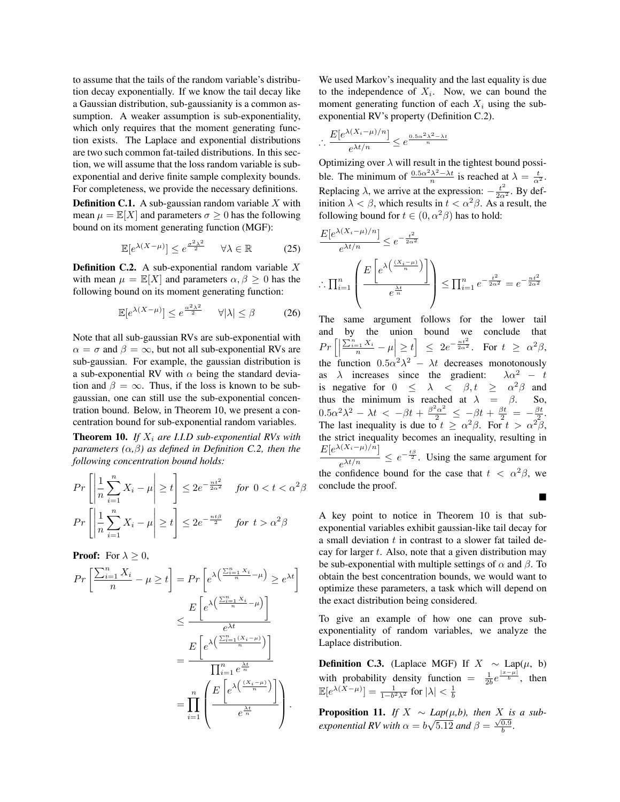to assume that the tails of the random variable's distribution decay exponentially. If we know the tail decay like a Gaussian distribution, sub-gaussianity is a common assumption. A weaker assumption is sub-exponentiality, which only requires that the moment generating function exists. The Laplace and exponential distributions are two such common fat-tailed distributions. In this section, we will assume that the loss random variable is subexponential and derive finite sample complexity bounds. For completeness, we provide the necessary definitions.

Definition C.1. A sub-gaussian random variable *X* with mean  $\mu = \mathbb{E}[X]$  and parameters  $\sigma \geq 0$  has the following bound on its moment generating function (MGF):

$$
\mathbb{E}[e^{\lambda(X-\mu)}] \le e^{\frac{\sigma^2 \lambda^2}{2}} \quad \forall \lambda \in \mathbb{R} \tag{25}
$$

Definition C.2. A sub-exponential random variable *X* with mean  $\mu = \mathbb{E}[X]$  and parameters  $\alpha, \beta \geq 0$  has the following bound on its moment generating function:

$$
\mathbb{E}[e^{\lambda(X-\mu)}] \le e^{\frac{\alpha^2\lambda^2}{2}} \quad \forall |\lambda| \le \beta \tag{26}
$$

Note that all sub-gaussian RVs are sub-exponential with  $\alpha = \sigma$  and  $\beta = \infty$ , but not all sub-exponential RVs are sub-gaussian. For example, the gaussian distribution is a sub-exponential RV with  $\alpha$  being the standard deviation and  $\beta = \infty$ . Thus, if the loss is known to be subgaussian, one can still use the sub-exponential concentration bound. Below, in Theorem 10, we present a concentration bound for sub-exponential random variables.

Theorem 10. *If X<sup>i</sup> are I.I.D sub-exponential RVs with parameters*  $(\alpha, \beta)$  *as defined in Definition C.2, then the following concentration bound holds:*

$$
Pr\left[\left|\frac{1}{n}\sum_{i=1}^{n}X_{i}-\mu\right|\geq t\right] \leq 2e^{-\frac{nt^{2}}{2\alpha^{2}}}
$$
 for  $0 < t < \alpha^{2}\beta$   

$$
Pr\left[\left|\frac{1}{n}\sum_{i=1}^{n}X_{i}-\mu\right|\geq t\right] \leq 2e^{-\frac{nt\beta}{2}}
$$
 for  $t > \alpha^{2}\beta$ 

**Proof:** For  $\lambda \geq 0$ ,

$$
Pr\left[\frac{\sum_{i=1}^{n} X_i}{n} - \mu \ge t\right] = Pr\left[e^{\lambda \left(\frac{\sum_{i=1}^{n} X_i}{n} - \mu\right)} \ge e^{\lambda t}\right]
$$

$$
\le \frac{E\left[e^{\lambda \left(\frac{\sum_{i=1}^{n} X_i}{n} - \mu\right)}\right]}{e^{\lambda t}}
$$

$$
= \frac{E\left[e^{\lambda \left(\frac{\sum_{i=1}^{n} (X_i - \mu)}{n}\right)}\right]}{\prod_{i=1}^{n} e^{\frac{\lambda t}{n}}}
$$

$$
= \prod_{i=1}^{n} \left(\frac{E\left[e^{\lambda \left(\frac{(X_i - \mu)}{n}\right)}\right]}{e^{\frac{\lambda t}{n}}}\right).
$$

We used Markov's inequality and the last equality is due to the independence of  $X_i$ . Now, we can bound the moment generating function of each  $X_i$  using the subexponential RV's property (Definition C.2).

$$
\therefore \frac{E[e^{\lambda(X_i - \mu)/n}]}{e^{\lambda t/n}} \le e^{\frac{0.5\alpha^2\lambda^2 - \lambda t}{n}}
$$

Optimizing over  $\lambda$  will result in the tightest bound possible. The minimum of  $\frac{0.5\alpha^2\lambda^2 - \lambda t}{n}$  is reached at  $\lambda = \frac{t}{\alpha^2}$ . Replacing  $\lambda$ , we arrive at the expression:  $-\frac{t^2}{2\alpha^2}$ . By definition  $\lambda < \beta$ , which results in  $t < \alpha^2 \beta$ . As a result, the following bound for  $t \in (0, \alpha^2 \beta)$  has to hold:

$$
\frac{E[e^{\lambda(X_i-\mu)/n}]}{e^{\lambda t/n}} \le e^{-\frac{t^2}{2\alpha^2}}
$$
\n
$$
\left| \prod_{i=1}^n \left( \frac{E\left[e^{\lambda\left(\frac{(X_i-\mu)}{n}\right)}\right]}{e^{\frac{\lambda t}{n}}}\right) \right| \le \prod_{i=1}^n e^{-\frac{t^2}{2\alpha^2}} = e^{-\frac{nt^2}{2\alpha^2}}
$$

The same argument follows for the lower tail and by the union bound we conclude that  $Pr\left[\left|\frac{\sum_{i=1}^{n} X_i}{n} - \mu\right| \ge t\right] \le 2e^{-\frac{nt^2}{2\alpha^2}}$ . For  $t \ge \alpha^2\beta$ ,  $\overline{\phantom{a}}$ the function  $0.5\alpha^2\lambda^2 - \lambda t$  decreases monotonously as  $\lambda$  increases since the gradient:  $\lambda \alpha^2$  – t is negative for  $0 \leq \lambda < \beta$ ,  $t \geq \alpha^2 \beta$  and thus the minimum is reached at  $\lambda = \beta$ . So,  $0.5\alpha^2\lambda^2 - \lambda t < -\beta t + \frac{\beta^2\alpha^2}{2} \le -\beta t + \frac{\beta t}{2} = -\frac{\beta t}{2}.$ The last inequality is due to  $t \ge \alpha^2 \beta$ . For  $t > \alpha^2 \beta$ , the strict inequality becomes an inequality, resulting in  $\frac{E[e^{\lambda(X_i-\mu)/n}]}{e^{\lambda t/n}} \leq e^{-\frac{t\beta}{2}}$ . Using the same argument for the confidence bound for the case that  $t < \alpha^2 \beta$ , we conclude the proof.

A key point to notice in Theorem 10 is that subexponential variables exhibit gaussian-like tail decay for a small deviation *t* in contrast to a slower fat tailed decay for larger *t*. Also, note that a given distribution may be sub-exponential with multiple settings of  $\alpha$  and  $\beta$ . To obtain the best concentration bounds, we would want to optimize these parameters, a task which will depend on the exact distribution being considered.

 $\blacksquare$ 

To give an example of how one can prove subexponentiality of random variables, we analyze the Laplace distribution.

**Definition C.3.** (Laplace MGF) If  $X \sim \text{Lap}(\mu, b)$ with probability density function  $= \frac{1}{2b}e^{\frac{|x-\mu|}{b}}$ , then  $\mathbb{E}[e^{\lambda(X-\mu)}] = \frac{1}{1-b^2\lambda^2}$  for  $|\lambda| < \frac{1}{b}$ 

**Proposition 11.** *If*  $X \sim Lap(\mu, b)$ , then  $X$  *is a subexponential RV with*  $\alpha = b\sqrt{5.12}$  *and*  $\beta = \frac{\sqrt{0.9}}{b}$ .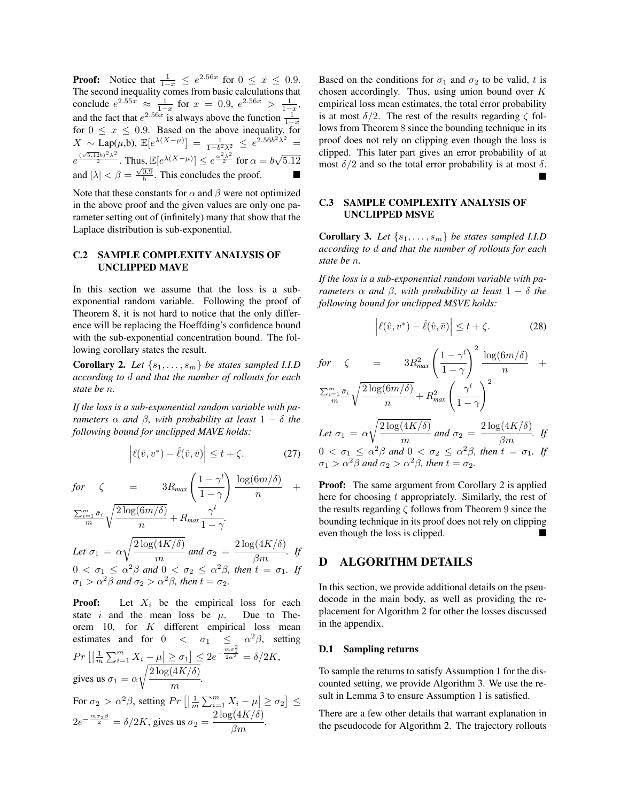**Proof:** Notice that  $\frac{1}{1-x} \leq e^{2.56x}$  for  $0 \leq x \leq 0.9$ .<br>The second inequality comes from basic calculations that conclude  $e^{2.55x} \approx \frac{1}{1-x}$  for  $x = 0.9$ ,  $e^{2.56x} > \frac{1}{1-x}$ and the fact that  $e^{2.56x}$  is always above the function  $\frac{1}{1-x}$ for  $0 \leq x \leq 0.9$ . Based on the above inequality, for  $X \sim \text{Lap}(\mu, \mathbf{b}), \ \mathbb{E}[e^{\lambda(X-\mu)}] = \frac{1}{1-b^2\lambda^2} \leq e^{2.56b^2\lambda^2}$ =  $e^{\frac{(\sqrt{5.12}b)^2\lambda^2}{2}}$ . Thus,  $\mathbb{E}[e^{\lambda(X-\mu)}] \leq e^{\frac{\alpha^2\lambda^2}{2}}$  for  $\alpha = b\sqrt{5.12}$ and  $|\lambda| < \beta = \frac{\sqrt{0.9}}{b}$ . This concludes the proof.

Note that these constants for  $\alpha$  and  $\beta$  were not optimized in the above proof and the given values are only one parameter setting out of (infinitely) many that show that the Laplace distribution is sub-exponential.

## C.2 SAMPLE COMPLEXITY ANALYSIS OF UNCLIPPED MAVE

In this section we assume that the loss is a subexponential random variable. Following the proof of Theorem 8, it is not hard to notice that the only difference will be replacing the Hoeffding's confidence bound with the sub-exponential concentration bound. The following corollary states the result.

**Corollary 2.** Let  $\{s_1, \ldots, s_m\}$  be states sampled I.I.D *according to d and that the number of rollouts for each state be n.*

*If the loss is a sub-exponential random variable with parameters*  $\alpha$  *and*  $\beta$ , *with probability at least*  $1 - \delta$  *the following bound for unclipped MAVE holds:*

$$
\left| \ell(\hat{v}, v^*) - \hat{\ell}(\hat{v}, \bar{v}) \right| \le t + \zeta.
$$
 (27)

$$
\begin{array}{ll}\nfor & \zeta & = 3R_{\text{max}} \left( \frac{1 - \gamma^l}{1 - \gamma} \right) \frac{\log(6m/\delta)}{n} + \\
\frac{\sum_{i=1}^m \bar{\sigma}_i}{m} \sqrt{\frac{2\log(6m/\delta)}{n}} + R_{\text{max}} \frac{\gamma^l}{1 - \gamma} \\
\text{Let } \sigma_1 & = \alpha \sqrt{\frac{2\log(4K/\delta)}{m}} \text{ and } \sigma_2 = \frac{2\log(4K/\delta)}{\beta m}. \text{ If}\n\end{array}
$$

 $0 < \sigma_1 \leq \alpha^2 \beta$  and  $0 < \sigma_2 \leq \alpha^2 \beta$ , then  $t = \sigma_1$ . If  $\sigma_1 > \alpha^2 \beta$  and  $\sigma_2 > \alpha^2 \beta$ , then  $t = \sigma_2$ .

**Proof:** Let  $X_i$  be the empirical loss for each state *i* and the mean loss be  $\mu$ . Due to Theorem 10, for *K* different empirical loss mean estimates and for  $0 < \sigma_1 \leq \alpha^2 \beta$ , setting  $Pr\left[\left|\frac{1}{m}\sum_{i=1}^{m}X_i - \mu\right| \geq \sigma_1\right] \leq 2e^{-\frac{m\sigma_1^2}{2\alpha^2}} = \delta/2K,$ gives us  $\sigma_1 = \alpha$  $\sqrt{2 \log(4K/\delta)}$  $\frac{(n-1)^{n}}{m}$ .

For  $\sigma_2 > \alpha^2 \beta$ , setting  $Pr\left[ \left| \frac{1}{m} \sum_{i=1}^m X_i - \mu \right| \ge \sigma_2 \right] \le$  $2e^{-\frac{m\sigma_2\beta}{2}} = \delta/2K$ , gives us  $\sigma_2 = \frac{2\log(4K/\delta)}{\beta m}$ .

Based on the conditions for  $\sigma_1$  and  $\sigma_2$  to be valid, *t* is chosen accordingly. Thus, using union bound over *K* empirical loss mean estimates, the total error probability is at most  $\delta/2$ . The rest of the results regarding  $\zeta$  follows from Theorem 8 since the bounding technique in its proof does not rely on clipping even though the loss is clipped. This later part gives an error probability of at most  $\delta/2$  and so the total error probability is at most  $\delta$ .  $\blacksquare$ 

### C.3 SAMPLE COMPLEXITY ANALYSIS OF UNCLIPPED MSVE

**Corollary 3.** Let  $\{s_1, \ldots, s_m\}$  be states sampled I.I.D *according to d and that the number of rollouts for each state be n.*

*If the loss is a sub-exponential random variable with parameters*  $\alpha$  *and*  $\beta$ , *with probability at least*  $1 - \delta$  *the following bound for unclipped MSVE holds:*

$$
\left| \ell(\hat{v}, v^*) - \hat{\ell}(\hat{v}, \bar{v}) \right| \le t + \zeta.
$$
 (28)

$$
for \quad \zeta = 3R_{max}^2 \left(\frac{1-\gamma^l}{1-\gamma}\right)^2 \frac{\log(6m/\delta)}{n} + \frac{\sum_{i=1}^m \bar{\sigma}_i}{m} \sqrt{\frac{2\log(6m/\delta)}{n}} + R_{max}^2 \left(\frac{\gamma^l}{1-\gamma}\right)^2
$$

Let 
$$
\sigma_1 = \alpha \sqrt{\frac{2 \log(4K/\delta)}{m}}
$$
 and  $\sigma_2 = \frac{2 \log(4K/\delta)}{\beta m}$ . If  
  $0 < \sigma_1 \leq \alpha^2 \beta$  and  $0 < \sigma_2 \leq \alpha^2 \beta$ , then  $t = \sigma_1$ . If  
  $\sigma_1 > \alpha^2 \beta$  and  $\sigma_2 > \alpha^2 \beta$ , then  $t = \sigma_2$ .

Proof: The same argument from Corollary 2 is applied here for choosing *t* appropriately. Similarly, the rest of the results regarding  $\zeta$  follows from Theorem 9 since the bounding technique in its proof does not rely on clipping even though the loss is clipped.  $\blacksquare$ 

## D ALGORITHM DETAILS

In this section, we provide additional details on the pseudocode in the main body, as well as providing the replacement for Algorithm 2 for other the losses discussed in the appendix.

#### D.1 Sampling returns

To sample the returns to satisfy Assumption 1 for the discounted setting, we provide Algorithm 3. We use the result in Lemma 3 to ensure Assumption 1 is satisfied.

There are a few other details that warrant explanation in the pseudocode for Algorithm 2. The trajectory rollouts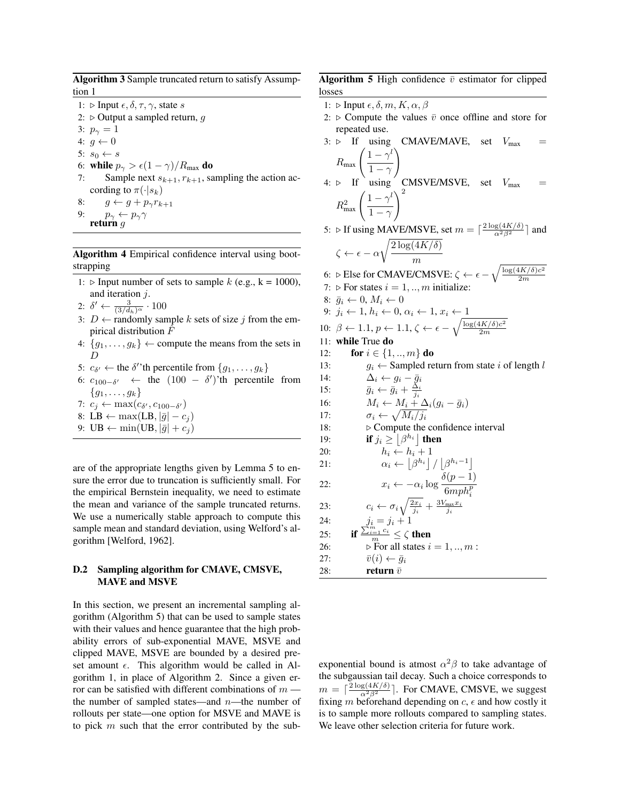Algorithm 3 Sample truncated return to satisfy Assumption 1

- 1:  $\triangleright$  Input  $\epsilon, \delta, \tau, \gamma$ , state *s*
- 2:  $\triangleright$  Output a sampled return, *g*
- 3:  $p_{\gamma} = 1$
- 4:  $g \leftarrow 0$
- 5:  $s_0 \leftarrow s$
- 6: **while**  $p_{\gamma} > \epsilon (1 \gamma)/R_{\text{max}}$  do<br>7: Sample next  $s_{k+1}, r_{k+1}, s_{k+1}$
- Sample next  $s_{k+1}, r_{k+1}$ , sampling the action according to  $\pi(\cdot|s_k)$
- 8:  $g \leftarrow g + p_{\gamma} r_{k+1}$ <br>9:  $p_{\gamma} \leftarrow p_{\gamma} \gamma$
- 9:  $p_{\gamma} \leftarrow p_{\gamma} \gamma$ <br>**return** *g*
- 

Algorithm 4 Empirical confidence interval using bootstrapping

- 1:  $\triangleright$  Input number of sets to sample *k* (e.g., k = 1000), and iteration *j*.
- 2:  $\delta' \leftarrow \frac{3}{(3/d_h)^\alpha} \cdot 100$
- 3:  $D \leftarrow$  randomly sample *k* sets of size *j* from the empirical distribution *F*ˆ
- 4:  ${g_1, \ldots, g_k} \leftarrow$  compute the means from the sets in *D*
- 5:  $c_{\delta'} \leftarrow$  the  $\delta'$ 'th percentile from  $\{g_1, \ldots, g_k\}$
- 6:  $c_{100-\delta'} \leftarrow$  the  $(100 \delta')$ 'th percentile from *{g*1*,...,gk}*
- 7:  $c_j \leftarrow \max(c_{\delta'}, c_{100-\delta'})$
- 8: LB  $\leftarrow$  max(LB,  $|\bar{g}| c_i$ )

9: 
$$
UB \leftarrow min(UB, |\bar{g}| + c_j)
$$

are of the appropriate lengths given by Lemma 5 to ensure the error due to truncation is sufficiently small. For the empirical Bernstein inequality, we need to estimate the mean and variance of the sample truncated returns. We use a numerically stable approach to compute this sample mean and standard deviation, using Welford's algorithm [Welford, 1962].

#### D.2 Sampling algorithm for CMAVE, CMSVE, MAVE and MSVE

In this section, we present an incremental sampling algorithm (Algorithm 5) that can be used to sample states with their values and hence guarantee that the high probability errors of sub-exponential MAVE, MSVE and clipped MAVE, MSVE are bounded by a desired preset amount  $\epsilon$ . This algorithm would be called in Algorithm 1, in place of Algorithm 2. Since a given error can be satisfied with different combinations of *m* the number of sampled states—and *n*—the number of rollouts per state—one option for MSVE and MAVE is to pick *m* such that the error contributed by the subAlgorithm 5 High confidence  $\bar{v}$  estimator for clipped losses

- 1:  $\triangleright$  Input  $\epsilon, \delta, m, K, \alpha, \beta$
- 2:  $\triangleright$  Compute the values  $\bar{v}$  once offline and store for repeated use.
- 3:  $\triangleright$  If using CMAVE/MAVE, set  $V_{\text{max}}$  $R_{\text{max}}\left(\frac{1-\gamma^l}{1-\gamma^l}\right)$  $1-\gamma$ !
- 4:  $\triangleright$  If  $\overline{ }$  using  $\overline{ }$  CMSVE/MSVE, set  $V_{\text{max}}$  $R_{\text{max}}^2 \left( \frac{1 - \gamma^l}{1 - \gamma^l} \right)$  $\setminus^2$

 $1-\gamma$ 5:  $\triangleright$  If using MAVE/MSVE, set  $m = \lceil \frac{2 \log(4K/\delta)}{\alpha^2 \beta^2} \rceil$  and

$$
\zeta \leftarrow \epsilon - \alpha \sqrt{\frac{2 \log(4K/\delta)}{m}}
$$

- 6:  $\triangleright$  Else for CMAVE/CMSVE:  $\zeta \leftarrow \epsilon \sqrt{\frac{\log(4K/\delta)c^2}{2m}}$ 2*m*
- 7:  $\triangleright$  For states  $i = 1, ..., m$  initialize:
- 8:  $\bar{g}_i \leftarrow 0, M_i \leftarrow 0$ 9:  $j_i \leftarrow 1, h_i \leftarrow 0, \alpha_i \leftarrow 1, x_i \leftarrow 1$ 10:  $\beta \leftarrow 1.1, p \leftarrow 1.1, \zeta \leftarrow \epsilon - \sqrt{\frac{\log(4K/\delta)c^2}{2m}}$ 2*m* 11: while True do 12: **for**  $i \in \{1, ..., m\}$  **do**<br>13:  $q_i \leftarrow$  Sampled re 13:  $g_i \leftarrow$  Sampled return from state *i* of length *l*<br>14:  $\Delta_i \leftarrow q_i - \bar{q}_i$ 14:  $\Delta_i \leftarrow g_i - \bar{g}_i$ <br>
15:  $\bar{q}_i \leftarrow \bar{q}_i + \frac{\Delta_i}{\Delta_i}$ 15:  $\overline{g}_i \leftarrow \overline{g}_i + \frac{\Delta_i}{j_i}$ <br>
16:  $M_i \leftarrow M_i + \Delta_i (g_i - \overline{g}_i)$ 17:  $\sigma_i \leftarrow \sqrt{M_i/j_i}$ <br>18:  $\triangleright$  Compute the  $\triangleright$  Compute the confidence interval 19: **if**  $j_i \geq \lfloor \beta^{h_i} \rfloor$  then 20:  $h_i \leftarrow h_i + 1$ 21:  $\alpha_i \leftarrow \lfloor \beta^{h_i} \rfloor / \lfloor \beta^{h_i - 1} \rfloor$ 22:  $x_i \leftarrow -\alpha_i \log \frac{\delta(p-1)}{6m n h^p}$

22: 
$$
x_i \leftarrow -\alpha_i \log \frac{\overline{G}mph_i^p}{6mph_i^p}
$$
  
\n23:  $c_i \leftarrow \sigma_i \sqrt{\frac{2x_i}{j_i}} + \frac{3V_{\text{max}}x_i}{j_i}$   
\n24:  $j_i = j_i + 1$   
\n25: **if**  $\frac{\sum_{i=1}^m c_i}{m} \leq \zeta$  **then**  
\n26:  $\triangleright$  For all states  $i = 1, ..., m$ :  
\n27:  $\overline{v}(i) \leftarrow \overline{g}_i$   
\n28: **return**  $\overline{v}$ 

exponential bound is atmost  $\alpha^2\beta$  to take advantage of the subgaussian tail decay. Such a choice corresponds to  $m = \left\lceil \frac{2 \log(4K/\delta)}{\alpha^2 \beta^2} \right\rceil$ . For CMAVE, CMSVE, we suggest fixing *m* beforehand depending on  $c$ ,  $\epsilon$  and how costly it is to sample more rollouts compared to sampling states. We leave other selection criteria for future work.